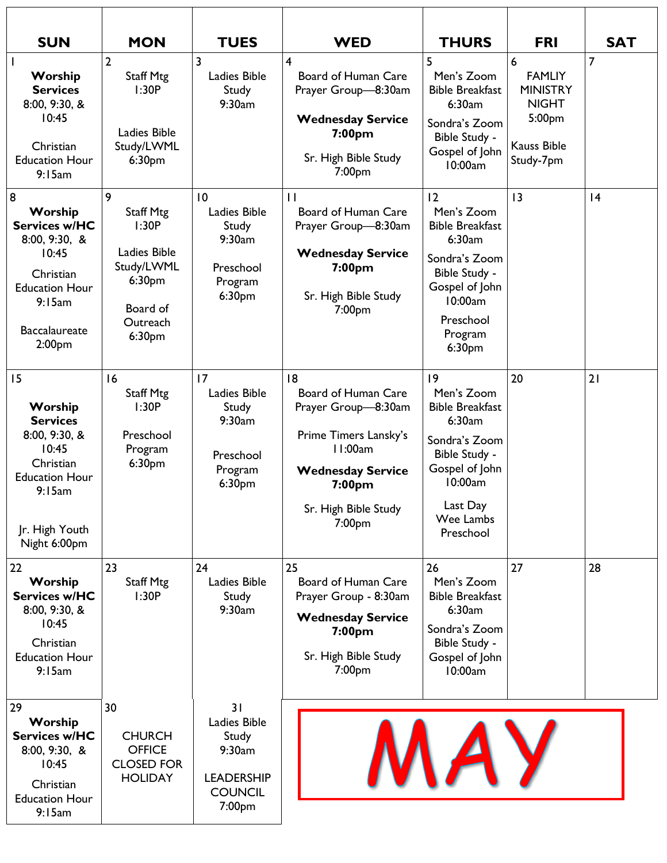| <b>SUN</b>                                                                                                                                                                  | <b>MON</b>                                                                                                           | <b>TUES</b>                                                                            | <b>WED</b>                                                                                                                                                              | <b>THURS</b>                                                                                                                                                      | <b>FRI</b>                                                                                         | <b>SAT</b>     |
|-----------------------------------------------------------------------------------------------------------------------------------------------------------------------------|----------------------------------------------------------------------------------------------------------------------|----------------------------------------------------------------------------------------|-------------------------------------------------------------------------------------------------------------------------------------------------------------------------|-------------------------------------------------------------------------------------------------------------------------------------------------------------------|----------------------------------------------------------------------------------------------------|----------------|
| Worship<br><b>Services</b><br>8:00, 9:30, 8<br>10:45<br>Christian<br><b>Education Hour</b><br>9:15am                                                                        | $\overline{2}$<br><b>Staff Mtg</b><br>1:30P<br>Ladies Bible<br>Study/LWML<br>6:30 <sub>pm</sub>                      | 3<br>Ladies Bible<br>Study<br>9:30am                                                   | 4<br>Board of Human Care<br>Prayer Group-8:30am<br><b>Wednesday Service</b><br>7:00 <sub>pm</sub><br>Sr. High Bible Study<br>7:00pm                                     | 5<br>Men's Zoom<br><b>Bible Breakfast</b><br>6:30am<br>Sondra's Zoom<br>Bible Study -<br>Gospel of John<br>10:00am                                                | 6<br><b>FAMLIY</b><br><b>MINISTRY</b><br><b>NIGHT</b><br>5:00pm<br><b>Kauss Bible</b><br>Study-7pm | $\overline{7}$ |
| $\boldsymbol{8}$<br>Worship<br><b>Services w/HC</b><br>8:00, 9:30, 8<br>10:45<br>Christian<br><b>Education Hour</b><br>9:15am<br><b>Baccalaureate</b><br>2:00 <sub>pm</sub> | 9<br><b>Staff Mtg</b><br>1:30P<br>Ladies Bible<br>Study/LWML<br>6:30 <sub>pm</sub><br>Board of<br>Outreach<br>6:30pm | $\overline{10}$<br>Ladies Bible<br>Study<br>9:30am<br>Preschool<br>Program<br>6:30pm   | $\mathbf{H}$<br>Board of Human Care<br>Prayer Group-8:30am<br><b>Wednesday Service</b><br>7:00 <sub>pm</sub><br>Sr. High Bible Study<br>7:00pm                          | 12<br>Men's Zoom<br><b>Bible Breakfast</b><br>6:30am<br>Sondra's Zoom<br>Bible Study -<br>Gospel of John<br>10:00am<br>Preschool<br>Program<br>6:30 <sub>pm</sub> | 13                                                                                                 | 4              |
| 15<br>Worship<br><b>Services</b><br>8:00, 9:30, &<br>10:45<br>Christian<br><b>Education Hour</b><br>9:15am<br>Jr. High Youth<br>Night 6:00pm                                | 16<br><b>Staff Mtg</b><br>1:30P<br>Preschool<br>Program<br>6:30 <sub>pm</sub>                                        | 17<br>Ladies Bible<br>Study<br>9:30am<br>Preschool<br>Program<br>6:30pm                | 8<br>Board of Human Care<br>Prayer Group-8:30am<br>Prime Timers Lansky's<br>11:00am<br><b>Wednesday Service</b><br>7:00 <sub>pm</sub><br>Sr. High Bible Study<br>7:00pm | 9<br>Men's Zoom<br><b>Bible Breakfast</b><br>6:30am<br>Sondra's Zoom<br>Bible Study -<br>Gospel of John<br>10:00am<br>Last Day<br>Wee Lambs<br>Preschool          | 20                                                                                                 | 21             |
| 22<br>Worship<br><b>Services w/HC</b><br>8:00, 9:30, 8<br>10:45<br>Christian<br><b>Education Hour</b><br>9:15am                                                             | 23<br><b>Staff Mtg</b><br>1:30P                                                                                      | 24<br>Ladies Bible<br>Study<br>9:30am                                                  | 25<br><b>Board of Human Care</b><br>Prayer Group - 8:30am<br><b>Wednesday Service</b><br>7:00 <sub>pm</sub><br>Sr. High Bible Study<br>7:00 <sub>pm</sub>               | 26<br>Men's Zoom<br><b>Bible Breakfast</b><br>6:30am<br>Sondra's Zoom<br>Bible Study -<br>Gospel of John<br>10:00am                                               | 27                                                                                                 | 28             |
| 29<br>Worship<br><b>Services w/HC</b><br>8:00, 9:30, 8<br>10:45<br>Christian<br><b>Education Hour</b><br>9:15am                                                             | 30<br><b>CHURCH</b><br><b>OFFICE</b><br><b>CLOSED FOR</b><br><b>HOLIDAY</b>                                          | 31<br>Ladies Bible<br>Study<br>9:30am<br><b>LEADERSHIP</b><br><b>COUNCIL</b><br>7:00pm |                                                                                                                                                                         |                                                                                                                                                                   |                                                                                                    |                |